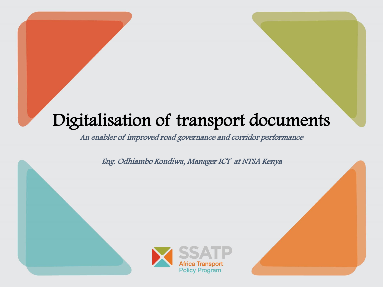# Digitalisation of transport documents

An enabler of improved road governance and corridor performance

Eng. Odhiambo Kondiwa, Manager ICT at NTSA Kenya

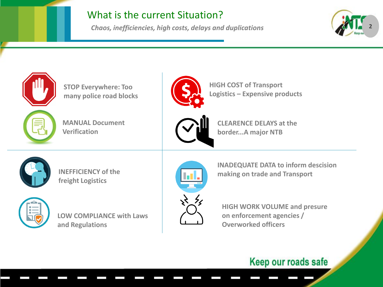## What is the current Situation?

*Chaos, inefficiencies, high costs, delays and duplications* 







**HIGH COST of Transport Logistics – Expensive products** 



**CLEARENCE DELAYS at the border...A major NTB**



**INEFFICIENCY of the freight Logistics** 



**LOW COMPLIANCE with Laws and Regulations** 



**INADEQUATE DATA to inform descision making on trade and Transport** 

**HIGH WORK VOLUME and presure on enforcement agencies / Overworked officers**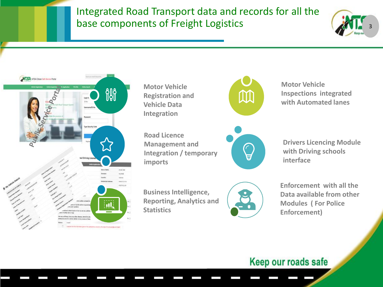# Integrated Road Transport data and records for all the base components of Freight Logistics





**Motor Vehicle Registration and Vehicle Data Integration** 

**Road Licence Management and Integration / temporary imports**



**Motor Vehicle Inspections integrated with Automated lanes**



**Drivers Licencing Module with Driving schools interface**

**Business Intelligence, Reporting, Analytics and Statistics** 



**Enforcement with all the Data available from other Modules ( For Police Enforcement)**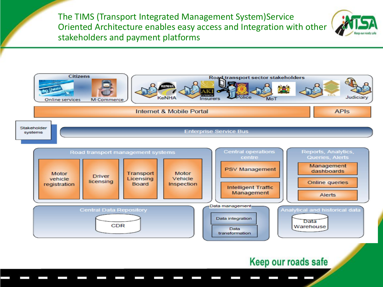The TIMS (Transport Integrated Management System)Service Oriented Architecture enables easy access and Integration with other stakeholders and payment platforms



**APIS** 



#### Internet & Mobile Portal

Stakeholder **Enterprise Service Bus** systems

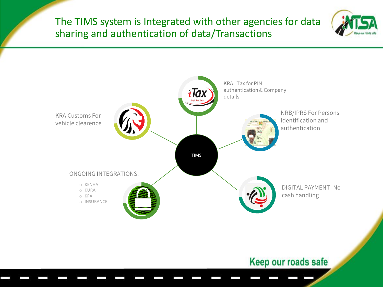The TIMS system is Integrated with other agencies for data sharing and authentication of data/Transactions



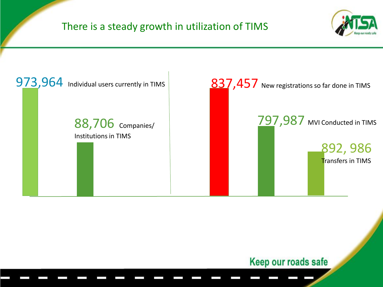# There is a steady growth in utilization of TIMS



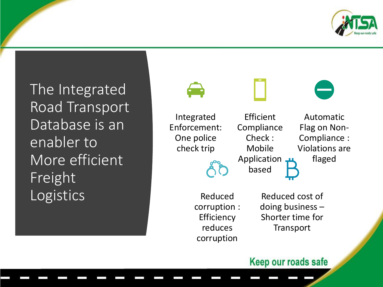

The Integrated Road Transport Database is an enabler to More efficient Freight Logistics

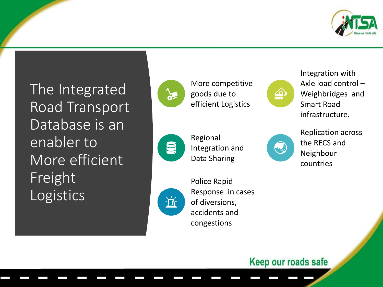

The Integrated Road Transport Database is an enabler to More efficient Freight Logistics



More competitive goods due to efficient Logistics



Integration with Axle load control – Weighbridges and Smart Road infrastructure.



Regional Integration and Data Sharing



Police Rapid Response in cases of diversions, accidents and congestions

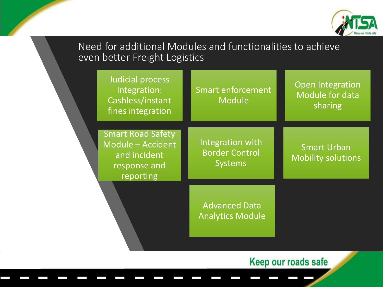

# Need for additional Modules and functionalities to achieve even better Freight Logistics

| Judicial process<br>Integration:<br>Cashless/instant<br>fines integration                  | <b>Smart enforcement</b><br><b>Module</b>                   | <b>Open Integration</b><br>Module for data<br>sharing |
|--------------------------------------------------------------------------------------------|-------------------------------------------------------------|-------------------------------------------------------|
| <b>Smart Road Safety</b><br>Module - Accident<br>and incident<br>response and<br>reporting | Integration with<br><b>Border Control</b><br><b>Systems</b> | <b>Smart Urban</b><br><b>Mobility solutions</b>       |
|                                                                                            | <b>Advanced Data</b><br><b>Analytics Module</b>             |                                                       |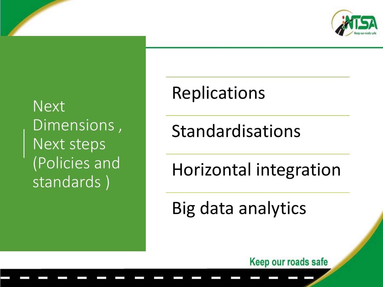

Next Dimensions , Next steps (Policies and standards )

# Replications

Standardisations

Horizontal integration

Big data analytics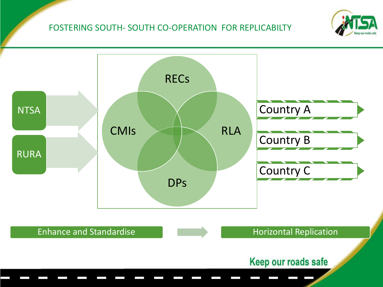#### FOSTERING SOUTH- SOUTH CO-OPERATION FOR REPLICABILTY